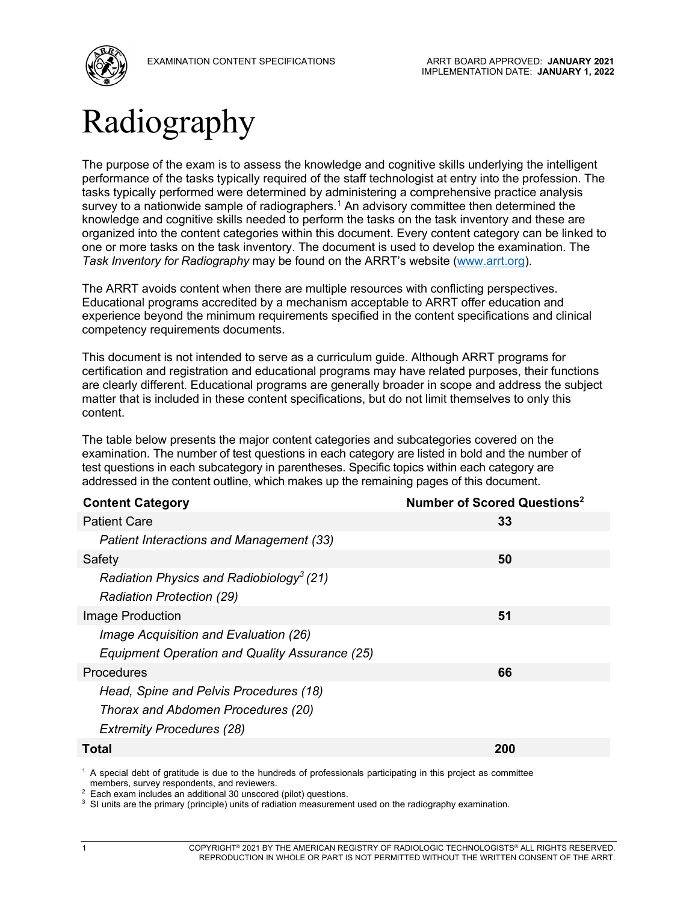

# Radiography

The purpose of the exam is to assess the knowledge and cognitive skills underlying the intelligent performance of the tasks typically required of the staff technologist at entry into the profession. The tasks typically performed were determined by administering a comprehensive practice analysis survey to a nationwide sample of radiographers.<sup>1</sup> An advisory committee then determined the knowledge and cognitive skills needed to perform the tasks on the task inventory and these are organized into the content categories within this document. Every content category can be linked to one or more tasks on the task inventory. The document is used to develop the examination. The *Task Inventory for Radiography* may be found on the ARRT's website [\(www.arrt.org\)](https://www.arrt.org/).

The ARRT avoids content when there are multiple resources with conflicting perspectives. Educational programs accredited by a mechanism acceptable to ARRT offer education and experience beyond the minimum requirements specified in the content specifications and clinical competency requirements documents.

This document is not intended to serve as a curriculum guide. Although ARRT programs for certification and registration and educational programs may have related purposes, their functions are clearly different. Educational programs are generally broader in scope and address the subject matter that is included in these content specifications, but do not limit themselves to only this content.

The table below presents the major content categories and subcategories covered on the examination. The number of test questions in each category are listed in bold and the number of test questions in each subcategory in parentheses. Specific topics within each category are addressed in the content outline, which makes up the remaining pages of this document.

| Number of Scored Questions <sup>2</sup> |
|-----------------------------------------|
| 33                                      |
|                                         |
| 50                                      |
|                                         |
|                                         |
| 51                                      |
|                                         |
|                                         |
| 66                                      |
|                                         |
|                                         |
|                                         |
| 200                                     |
|                                         |

<sup>1</sup> A special debt of gratitude is due to the hundreds of professionals participating in this project as committee members, survey respondents, and reviewers.

<sup>2</sup> Each exam includes an additional 30 unscored (pilot) questions.

<sup>3</sup> SI units are the primary (principle) units of radiation measurement used on the radiography examination.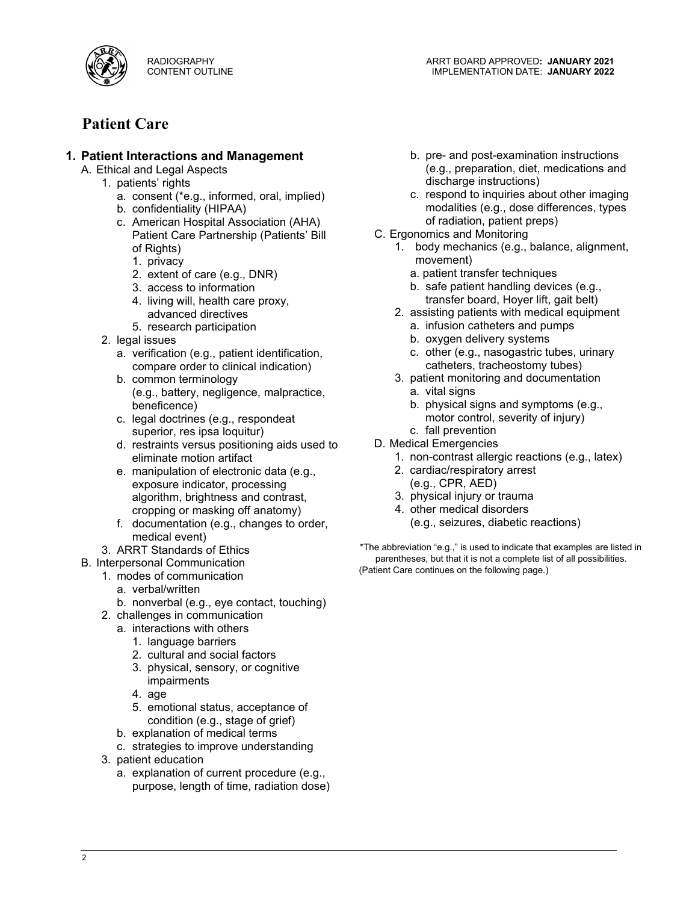

### **Patient Care**

#### **1. Patient Interactions and Management** b. pre- and post-examination instructions

- A. Ethical and Legal Aspects
	- 1. patients' rights
		- a. consent (\*e.g., informed, oral, implied)
		- b. confidentiality (HIPAA)
		- c. American Hospital Association (AHA) Patient Care Partnership (Patients' Bill of Rights)
			-
			- 2. extent of care (e.g.,  $DNR$ )
			- 3. access to information
			- 4. living will, health care proxy,
			-
	- - a. verification (e.g., patient identification, compare order to clinical indication)
		- (e.g., battery, negligence, malpractice, beneficence)
		- c. legal doctrines (e.g., respondeat motor control, severity of injury)<br>superior res insa loquitur) c. fall prevention superior, res ipsa loquitur)<br>
		restraints versus positioning aids used to CD. Medical Emergencies
		- d. restraints versus positioning aids used to<br>eliminate motion artifact
		- e. manipulation of electronic data (e.g., exposure indicator, processing algorithm, brightness and contrast, cropping or masking off anatomy)
		- f. documentation (e.g., changes to order, (e.g., seizures, diabetic reactions) medical event)
	- 3. ARRT Standards of Ethics
- - - a. verbal/written
		- b. nonverbal (e.g., eye contact, touching)
	- 2. challenges in communication
		- a. interactions with others
			- 1. language barriers
			- 2. cultural and social factors
			- 3. physical, sensory, or cognitive impairments
			- 4. age
			- 5. emotional status, acceptance of condition (e.g., stage of grief)
		- b. explanation of medical terms
		- c. strategies to improve understanding
	- 3. patient education
		- a. explanation of current procedure (e.g., purpose, length of time, radiation dose)
- (e.g., preparation, diet, medications and discharge instructions)
- c. respond to inquiries about other imaging modalities (e.g., dose differences, types of radiation, patient preps)
- C. Ergonomics and Monitoring
- 1. body mechanics (e.g., balance, alignment, 1. privacy<br>
2. extent of care (e.g., DNR) extent of care (e.g., DNR) a. patient transfer techniques
	-
	- b. safe patient handling devices (e.g., transfer board, Hoyer lift, gait belt)
	- advanced directives 2. assisting patients with medical equipment
- 5. research participation **a.** infusion catheters and pumps
- 2. legal issues b. oxygen delivery systems
	- c. other (e.g., nasogastric tubes, urinary catheters, tracheostomy tubes)
	- b. common terminology 3. patient monitoring and documentation a. vital signs
		- b. physical signs and symptoms (e.g.,
			-
		-
		- - 1. non-contrast allergic reactions (e.g., latex)
			- 2. cardiac/respiratory arrest (e.g., CPR, AED)
			- 3. physical injury or trauma
			- 4. other medical disorders
				-

\*The abbreviation "e.g.," is used to indicate that examples are listed in parentheses, but that it is not a complete list of all possibilities. B. Interpersonal Communication (Patient Care continues on the following page.)<br>1. modes of communication (Patient Care continues on the following page.)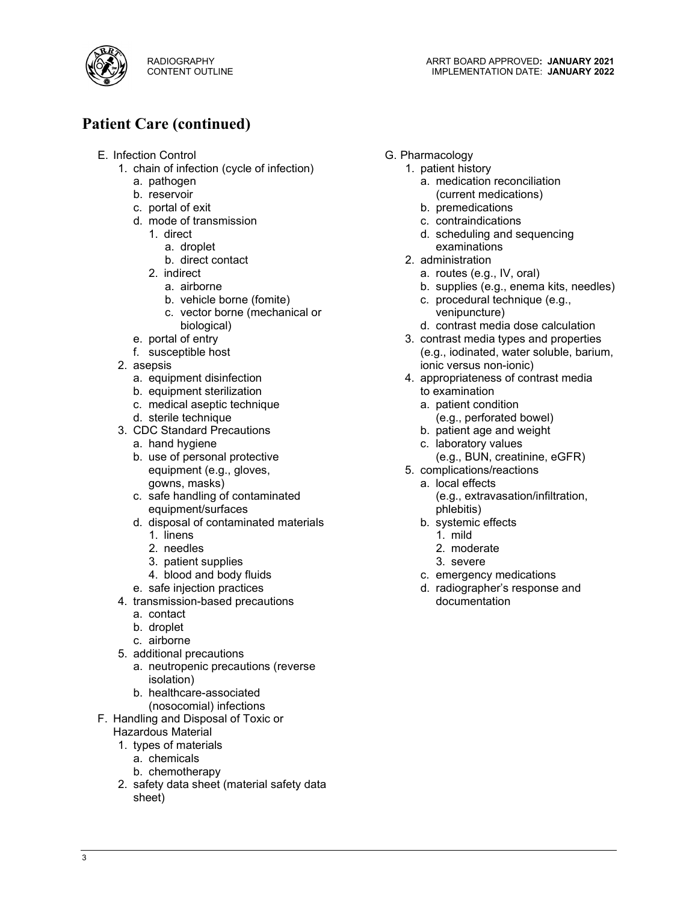

### **Patient Care (continued)**

- 
- E. Infection Control Control G. Pharmacology<br>1. chain of infection (cycle of infection) 1. patient history 1. chain of infection (cycle of infection)
	-
	-
	-
	- d. mode of transmission c. contraindications
		- -
			-
		- -
			-
			- c. vector borne (mechanical or venipuncture)
	-
	- f. susceptible host
	- 2. asepsis
		-
		- b. equipment sterilization b. equipment sterilization
		- c. medical aseptic technique and the condition and all patient condition
		-
	- 3. CDC Standard Precautions b. patient age and weight
		-
		- equipment (e.g., gloves, gowns, masks)
		- c. safe handling of contaminated equipment/surfaces
		- d. disposal of contaminated materials b. systemic effects
			- 1. linens 1. mild
			-
			- 3. patient supplies 3. severe
			-
			-
	- 4. transmission-based precautions documentation
		- a. contact
		- b. droplet
		- c. airborne
	- 5. additional precautions
		- a. neutropenic precautions (reverse isolation)
		- b. healthcare-associated (nosocomial) infections
- F. Handling and Disposal of Toxic or
	- Hazardous Material
	- 1. types of materials
		- a. chemicals
		- b. chemotherapy
	- 2. safety data sheet (material safety data sheet)
- -
- a. pathogen a. medication reconciliation b. reservoir example and the contract of the current medications)
- c. portal of exit b. premedications
	-
	- 1. direct d. scheduling and sequencing a. droplet examinations
	- b. direct contact b. direct contact b. direct contact 2. administration 2. administration 2. access 2. access 2. access 2. access 2. access 2. access 2. access 2. access 2. access 2. access 2. access 2. access 2. access 2.
		- a. routes (e.g.,  $IV$ , oral)
		- a. airborne b. supplies (e.g., enema kits, needles)
		- b. vehicle borne (fomite) example and the c. procedural technique (e.g.,
			- biological) d. contrast media dose calculation
- e. portal of entry 3. contrast media types and properties (e.g., iodinated, water soluble, barium, ionic versus non-ionic)
- a. equipment disinfection example and the superportation as a sequence of contrast media
- d. sterile technique (e.g., perforated bowel)
	-
- a. hand hygiene c. laboratory values
- b. use of personal protective (e.g., BUN, creatinine, eGFR)
	- 5. complications/reactions
		- a. local effects (e.g., extravasation/infiltration, phlebitis)
		- -
	- 2. needles 2. moderate
		-
	- 4. blood and body fluids example and c. emergency medications
- e. safe injection practices d. radiographer's response and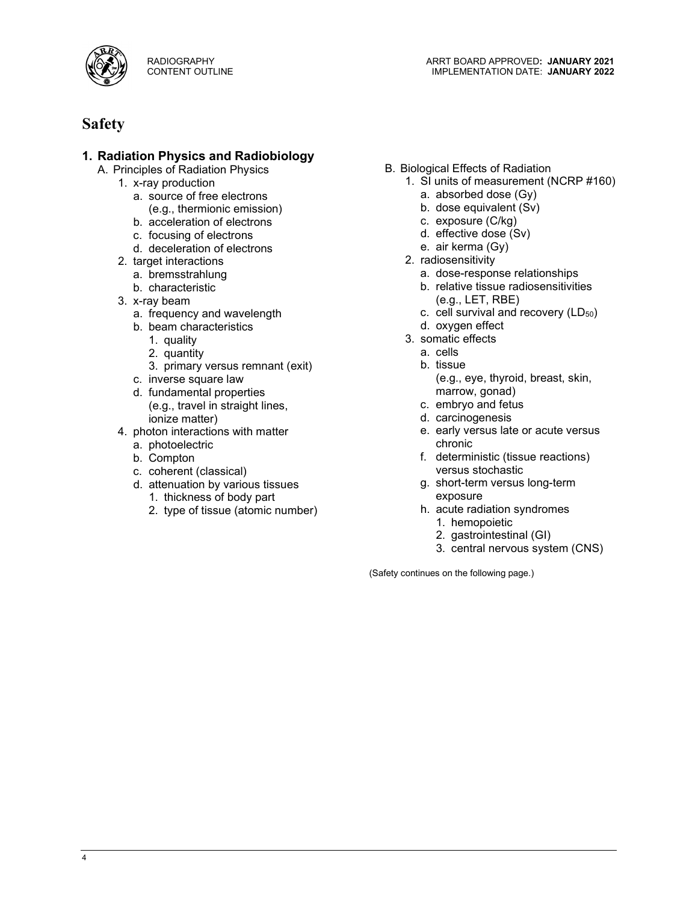

RADIOGRAPHY CONTENT OUTLINE

- - - a. source of free electrons a. absorbed dose (Gy)<br>
		(e.g., thermionic emission) b. dose equivalent (Sv) (e.g., thermionic emission) b. dose equivalent b. dose equivalent contained by the matter of electrons of the m<br>
		exposure (C/kg)
		- b. acceleration of electrons and the control of the c. exposure (C/kg) c. focusing of electrons c. focusing of the c. focusing of electrons c. focusing of electrons c. focusing of electrons c. focusing  $\alpha$ . effective dose
		- c. focusing of electrons of the control of the control of the control of the control of the control of the control of the control of the control of the control of the control of the control of the control of the control of
		- d. deceleration of electrons e. air kerma (G<br>
		target interactions e. air kerma (G
	- 2. target interactions
		-
		- b. characteristic
	- 3. x-ray beam
		-
		- b. beam characteristics
			-
			- 2. quantity
			- 3. primary versus remnant (exit)
		- c. inverse square law
		- d. fundamental properties (e.g., travel in straight lines, ionize matter)
	- 4. photon interactions with matter
		- a. photoelectric
		- b. Compton
		- c. coherent (classical)
		- d. attenuation by various tissues
			- 1. thickness of body part
			- 2. type of tissue (atomic number) h. acute radiation syndromes
- A. Principles of Radiation Physics<br>1. x-ray production 1. a. Biological Effects of Radiation<br>1. SI units of measurement (
	- 1. SI units of measurement (NCRP #160)<br>a. absorbed dose (Gy)

ARRT BOARD APPROVED**: JANUARY 2021** IMPLEMENTATION DATE: **JANUARY 2022**

- 
- 
- 
- 
- 
- 
- a. bremsstrahlung a. dose-response relationships
	- b. relative tissue radiosensitivities (e.g., LET, RBE)
- a. frequency and wavelength c. cell survival and recovery (LD<sub>50</sub>)<br>b. beam characteristics compared by d. oxygen effect
	-
	- 1. quality 1. quality 1. quality 1. quality 1. quality 1. somatic effects 1. cells
		-
		- b. tissue
			- (e.g., eye, thyroid, breast, skin, marrow, gonad)
		- c. embryo and fetus
		- d. carcinogenesis
		- e. early versus late or acute versus chronic
		- f. deterministic (tissue reactions) versus stochastic
		- g. short-term versus long-term exposure
		- 1. hemopoietic
			- 2. gastrointestinal (GI)
			- 3. central nervous system (CNS)

(Safety continues on the following page.)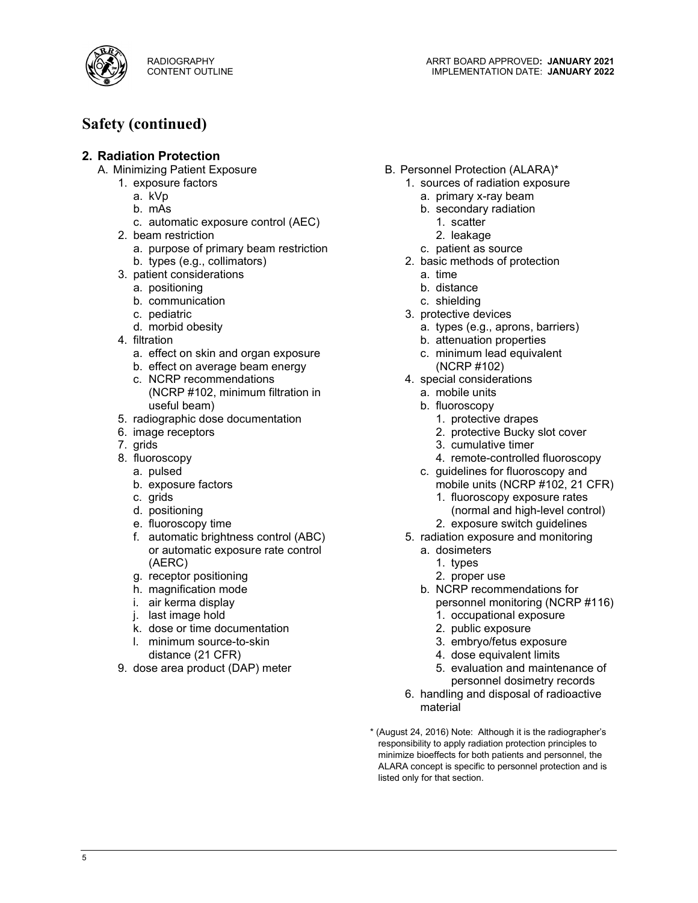

### **Safety (continued)**

## **2. Radiation Protection**

- -
	-
	-
	- c. automatic exposure control (AEC) 1. scatter
	- 2. beam restriction 2. leakage
		- a. purpose of primary beam restriction example as source c. patient as source
		-
	- 3. patient considerations and the set of the set of the set of the set of the set of the set of the set of the set of the set of the set of the set of the set of the set of the set of the set of the set of the set of the s
		- a. positioning b. distance
		- b. communication c. shielding
		-
		-
	- - a. effect on skin and organ exposure c. minimum lead equivalent
		- b. effect on average beam energy (NCRP #102)
		- c. NCRP recommendations (NCRP #102, minimum filtration in useful beam)
	- 5. radiographic dose documentation 1. protective drapes
	-
	-
	- -
		-
		-
		-
		-
		- f. automatic brightness control (ABC) or automatic exposure rate control (AERC)
		- g. receptor positioning
		-
		-
		-
		- k. dose or time documentation  $\blacksquare$  2. public exposure
		- l. minimum source-to-skin distance (21 CFR)
	- 9. dose area product (DAP) meter 5. evaluation and maintenance of
- Ainimizing Patient Exposure and B. Personnel Protection (ALARA)\*<br>1. exposure factors and B. Sources of radiation exposu
	- 1. sources of radiation exposure
	- a. kVp a. compared a set of the set of the set of the set of the set of the set of the set of the set of the s
	- b. mAs b. secondary radiation
		-
		-
		-
	- b. types (e.g., collimators) 2. basic methods of protection
		-
		-
		-
	- c. pediatric **3.** protective devices
	- d. morbid obesity a. types (e.g., aprons, barriers)
- 4. filtration b. attenuation properties
	-
	- 4. special considerations
		- a. mobile units
		- b. fluoroscopy
			-
- 6. image receptors 2. protective Bucky slot cover
	-
- 7. grids 3. cumulative timer fluoroscopy 1. a more controlled fluoroscopy and pulsed in the set of the set of the set of the set of the set o<br>A set of the set of the set of the set of the set of the set of the set of the set of the set of the set of t
	- c. guidelines for fluoroscopy and b. exposure factors mobile units (NCRP #102, 21 CFR)
	- c. grids 1. fluoroscopy exposure rates d. positioning (normal and high-level control)
	- e. fluoroscopy time 2. exposure switch guidelines
		- 5. radiation exposure and monitoring
			- a. dosimeters
				-
				- 1. types<br>2. proper use
	- h. magnification mode<br>
	i. air kerma display b. NCRP recommendations for<br>
	personnel monitoring (NCRP i. air kerma display between the personnel monitoring (NCRP #116)<br>
	i. last image hold between the personnel of the secupational exposure
		- 1. occupational exposure
		-
		- 3. embryo/fetus exposure
		- 4. dose equivalent limits
		- personnel dosimetry records
		- 6. handling and disposal of radioactive material
		- \* (August 24, 2016) Note: Although it is the radiographer's responsibility to apply radiation protection principles to minimize bioeffects for both patients and personnel, the ALARA concept is specific to personnel protection and is listed only for that section.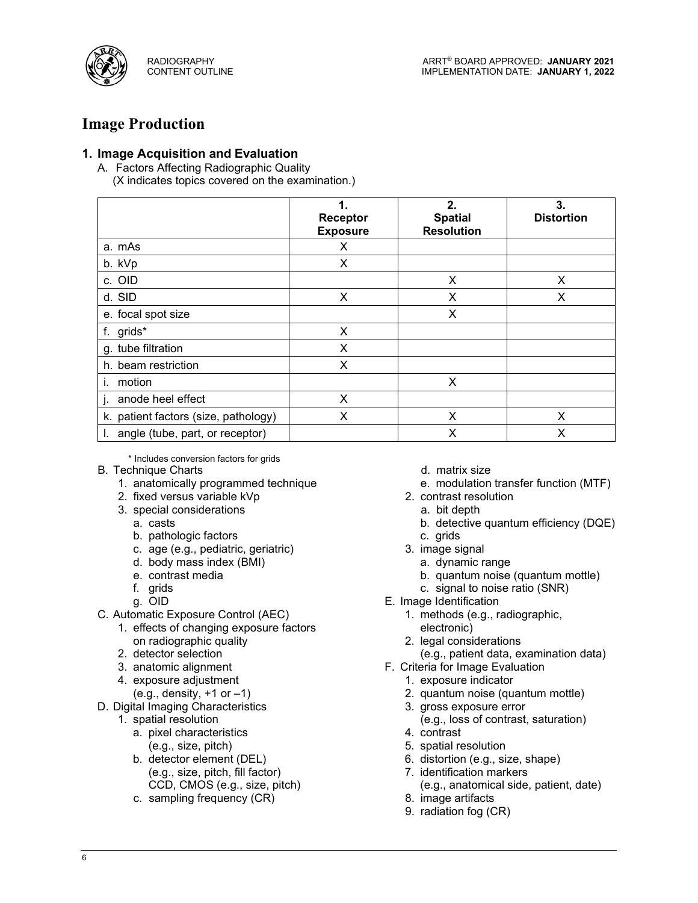

#### **Image Production**

#### **1. Image Acquisition and Evaluation**

A. Factors Affecting Radiographic Quality

(X indicates topics covered on the examination.)

|                                      | 1.<br>Receptor<br><b>Exposure</b> | 2.<br><b>Spatial</b><br><b>Resolution</b> | 3.<br><b>Distortion</b> |
|--------------------------------------|-----------------------------------|-------------------------------------------|-------------------------|
| a. mAs                               | X                                 |                                           |                         |
| b. kVp                               | X                                 |                                           |                         |
| c. OID                               |                                   | X                                         | X                       |
| d. SID                               | X                                 | X                                         | X                       |
| e. focal spot size                   |                                   | X                                         |                         |
| f. grids*                            | X                                 |                                           |                         |
| g. tube filtration                   | X                                 |                                           |                         |
| h. beam restriction                  | X                                 |                                           |                         |
| motion                               |                                   | X                                         |                         |
| anode heel effect                    | X                                 |                                           |                         |
| k. patient factors (size, pathology) | X                                 | X                                         | X                       |
| I. angle (tube, part, or receptor)   |                                   | X                                         | X                       |

\* Includes conversion factors for grids

- B. Technique Charts **d. matrix size** 
	- 1. anatomically programmed technique e. modulation transfer function (MTF)<br>2. fixed versus variable kVp 2. contrast resolution
	- 2. fixed versus variable kVp
	- 3. special considerations a. bit depth
		-
		- b. pathologic factors c. grids
		- c. age (e.g., pediatric, geriatric) 3. image signal
		- d. body mass index (BMI) a. dynamic range
		-
		-
		-
- g. OID<br>
E. Image Identification<br>
1. methods (e.g., radiographic, 1. methods (e.g., radiographic, C. Automatic Exposure Control (AEC)
	- 1. effects of changing exposure factors electronic) on radiographic quality on radiographic quality on the set of the set of the set of the set of the set of the s<br>2. detector selection (e.g., patient data, e)
	-
	-
	- 4. exposure adjustment
	- $(e.g., density, +1 or -1)$
- D. Digital Imaging Characteristics 3. gross exposure error
	- - a. pixel characteristics (e.g., size, pitch)
		- b. detector element (DEL) (e.g., size, pitch, fill factor)
		- c. sampling frequency (CR)
- 
- 
- -
- a. casts b. detective quantum efficiency (DQE)
	-
	- -
- e. contrast media b. quantum noise (quantum mottle)
- f. grids c. signal to noise ratio (SNR)
	- -
		- (e.g., patient data, examination data)
- 3. anatomic alignment F. Criteria for Image Evaluation
	- 1. exposure indicator
	- 2. quantum noise (quantum mottle)
- 1. spatial resolution (e.g., loss of contrast, saturation)
	- 4. contrast
	- 5. spatial resolution
	- 6. distortion (e.g., size, shape)
	- 7. identification markers
	- CCD, CMOS (e.g., size, pitch) (e.g., anatomical side, patient, date)<br>sampling frequency (CR) 8. image artifacts
		-
		- 9. radiation fog (CR)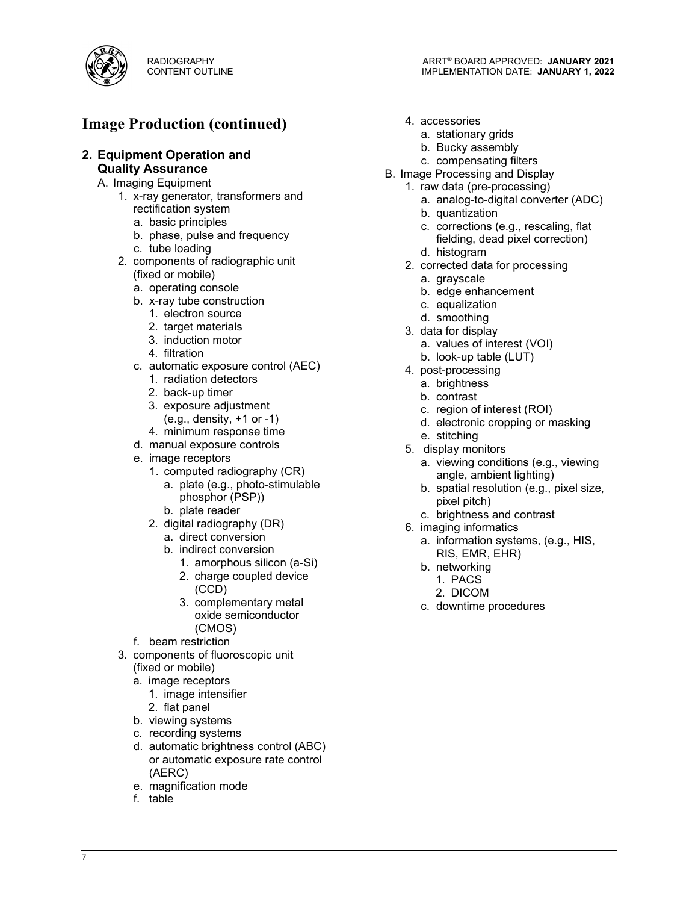

#### **Image Production (continued)** 4. accessories

### b. Bucky assembly **2. Equipment Operation and Quality Assurance** c. compensating filters **c. compensating filters**

- A. Imaging Equipment 1. raw data (pre-processing)<br>1. x-ray generator, transformers and 1. x-ray generator, transformers and 1. x-ray generator, transformers and rectification system
	-
	-
	-
	- c. tube loading<br>2. components of radiographic unit d. histogram 2. components of radiographic unit (fixed or mobile)
		- a. operating console b. edge enhancement
		- b. x-ray tube construction<br>
		1. electron source<br>
		1. electron source<br>
		1. encode construction<br>
		1. electron source<br>
		2. equalization<br>
		2. equalization
			-
			-
			-
			-
		- 4. filtration<br>
		c. automatic exposure control (AEC) b. look-up table (LUT)<br>
		1. radiation detectors a. brightness<br>
		a. brightness
			-
			- 2. back-up timer b. contrast
			- 3. exposure adjustment (e.g., density, +1 or -1)
		- e.g., density, +1 or -1)<br>
		4. minimum response time d. manual exposure controls density<br>
		d. electronic cropping or masking<br>
		e. stitching<br>
		5. display monitors
			-
		- - - a. plate (e.g., photo-stimulable phosphor (PSP))
				-
			- 2. digital radiography (DR) 6. imaging informatics<br>a. direct conversion on the contraction of a information system
				-
				-
				- b. indirect conversion<br>
				1. amorphous silicon (a-Si)<br>
				b. networking<br>
				b. networking
					- 2. charge coupled device (CCD)
					- 3. complementary metal oxide semiconductor (CMOS)
		- f. beam restriction
	- 3. components of fluoroscopic unit (fixed or mobile)
		- a. image receptors
			- 1. image intensifier
				-
			- 2. flat panel
		- b. viewing systems
		- c. recording systems
		- d. automatic brightness control (ABC) or automatic exposure rate control (AERC)
		- e. magnification mode
		- f. table
- - a. stationary grids
	-
	-
- -
	- a. analog-to-digital converter (ADC)
	- b. quantization
- a. basic principles<br>b. phase, pulse and frequency exerces corrections (e.g., rescaling, flat<br>fielding dead nivel correction) b. phase, pulse and frequency<br>c. tube loading dead pixel correction) b. phase, phase, phase, phase, phase, phase, phase, phase, phase, phase
	-
	- 2. corrected data for processing
		- a. grayscale
		-
		-
		-
	-
	- 1. electron source<br>
	2. target materials 2. target materials 3. induction motor a. values of interest (VOI)<br>
	4. filtration b. look-up table (LUT)
		-
		- -
			-
			- c. region of interest (ROI)
			-
			-
		-
- e. imanual exposure controls<br>
e. image receptors<br>
a. viewing conditions (e.g., viewing 1. computed radiography (CR) angle, ambient lighting)
	- b. spatial resolution (e.g., pixel size, phosphor (PSP))<br>b. plate reader c. brightness and contrast
		-
		- - a. information systems, (e.g., HIS,
			-
			- 1. PACS
			- 2. DICOM
			- c. downtime procedures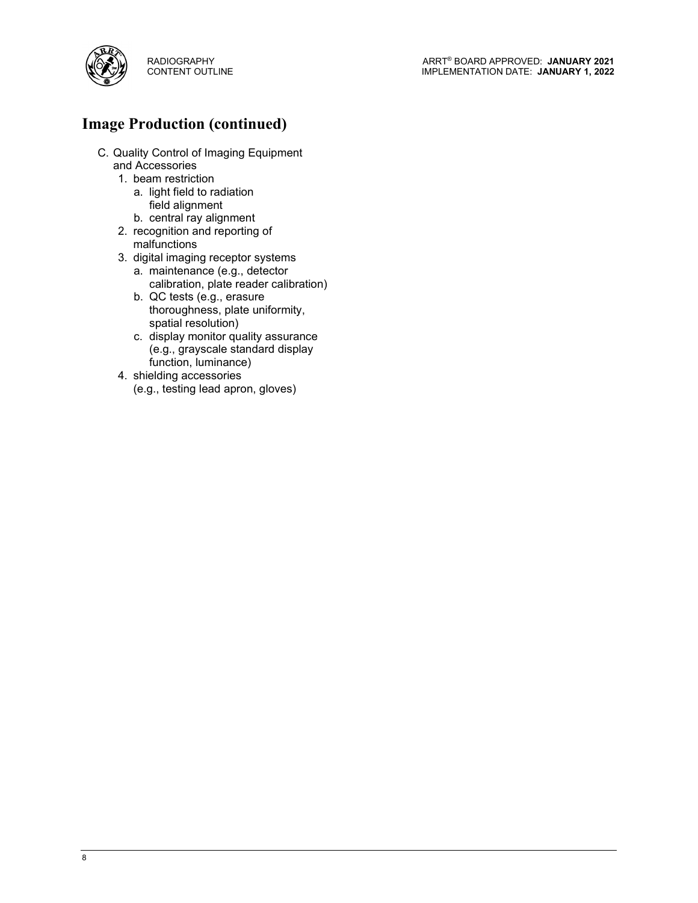

#### **Image Production (continued)**

- C. Quality Control of Imaging Equipment and Accessories
	- 1. beam restriction
		- a. light field to radiation field alignment
		- b. central ray alignment
	- 2. recognition and reporting of malfunctions
	- 3. digital imaging receptor systems
		- a. maintenance (e.g., detector calibration, plate reader calibration)
		- b. QC tests (e.g., erasure thoroughness, plate uniformity, spatial resolution)
		- c. display monitor quality assurance (e.g., grayscale standard display function, luminance)
	- 4. shielding accessories (e.g., testing lead apron, gloves)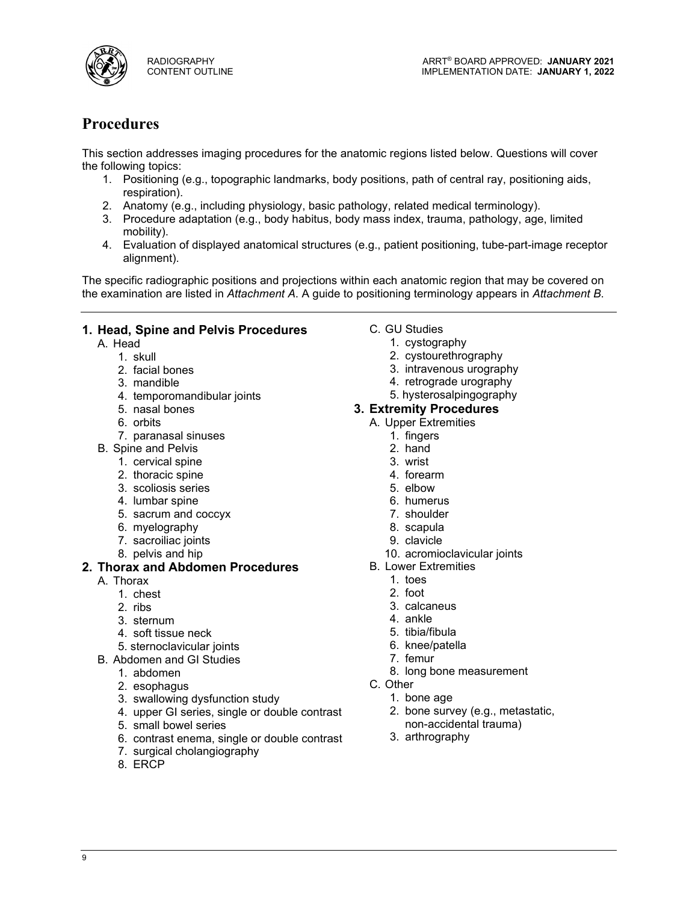

#### **Procedures**

This section addresses imaging procedures for the anatomic regions listed below. Questions will cover the following topics:

- 1. Positioning (e.g., topographic landmarks, body positions, path of central ray, positioning aids, respiration).
- 2. Anatomy (e.g., including physiology, basic pathology, related medical terminology).
- 3. Procedure adaptation (e.g., body habitus, body mass index, trauma, pathology, age, limited mobility).
- 4. Evaluation of displayed anatomical structures (e.g., patient positioning, tube-part-image receptor alignment).

The specific radiographic positions and projections within each anatomic region that may be covered on the examination are listed in *Attachment A*. A guide to positioning terminology appears in *Attachment B*.

#### **1. Head, Spine and Pelvis Procedures** C. GU Studies

- -
	-
	-
	- 4. temporomandibular joints<br>5. nasal bones
	-
	-
	- 7. paranasal sinuses 1. fingers
- B. Spine and Pelvis.
	- 1. cervical spine 3. wrist
	- 2. thoracic spine 3. scolosis series and the control of the 4. forearm 4. forearm 3. scolosis series
	- 3. scoliosis series 6. elbow 5. elbow 5. elbow 5. elbow 5. elbow 5. elbow 5. elbow 5. elbow 5. elbow 5. elbow 5. elbow 5. elbow 5. elbow 5. elbow 5. elbow 5. elbow 5. elbow 5. elbow 5. elbow 5. elbow 5. elbow 5. elbow 5. e
	- 4. lumbar spine
	- 5. sacrum and coccyx **7. shoulder**<br>6. myelography 6. scapula
	- 6. myelography
	- 7. sacroiliac joints 9. clavicle
	-

## **2. Thorax and Abdomen Procedures** B. Lower Extremition B. Lower Extremition B. Thorax

- A. Thorax 1. toes
	- 1. chest
	-
	-
	- 3. sternum 4. ankle 4. soft tissue neck and the set of the soft tissue neck the set of the set of the set of the set of the set of the set of the set of the set of the set of the set of the set of the set of the set of the set of the set of t
	- 5. sternoclavicular joints 6. knee/p<br>\bdomen and GI Studies 7. femur
- B. Abdomen and GI Studies
	-
	-
	- 2. esophagus C. Other 3. swallowing dysfunction study
	- 4. upper GI series, single or double contrast
	- 5. small bowel series
	- 6. contrast enema, single or double contrast 3. arthrography
	- 7. surgical cholangiography
	- 8. ERCP
- 
- A. Head **1.** cystography
	-
	- 1. skull 1. skull 1. skull 1. skull 1. skull 1. skull 1. skull 1. skull 1. skull 1. skull 1. skull 1. skull 1. skull 1. skull 1. skull 1. skull 1. skull 1. skull 1. skull 1. skull 1. skull 1. skull 1. skull 1. skull 1. sku 3. intravenous urography
		-
	- 3. mandible 3. mandible 3. mandible 3. mandibular ioints 4. retrograde urography<br>4. temporomandibular ioints 4. mandial 5. hysterosalpingography

#### **3. Extremity Procedures**

- 6. orbits **A. Upper Extremities** 
	-
	-
	-
	-
	-
	-
	-
	-
	-
- 8. pelvis and hip 10. acromioclavicular joints<br> **10. acromioclavicular joints**<br> **10. Lower Extremities** 
	- -
		-
- 2. ribs 3. calcaneus 3. calcaneus 3. calcaneus 3. calcaneus 3. calcaneus 3. calcaneus 3. calcaneus 3. calcaneus
	-
	-
	-
	-
- 1. abdomen 8. long bone measurement<br>2. esophagus 1. long bone measurement 2. esophagus
	- -
		- 2. bone survey (e.g., metastatic, non-accidental trauma)
		-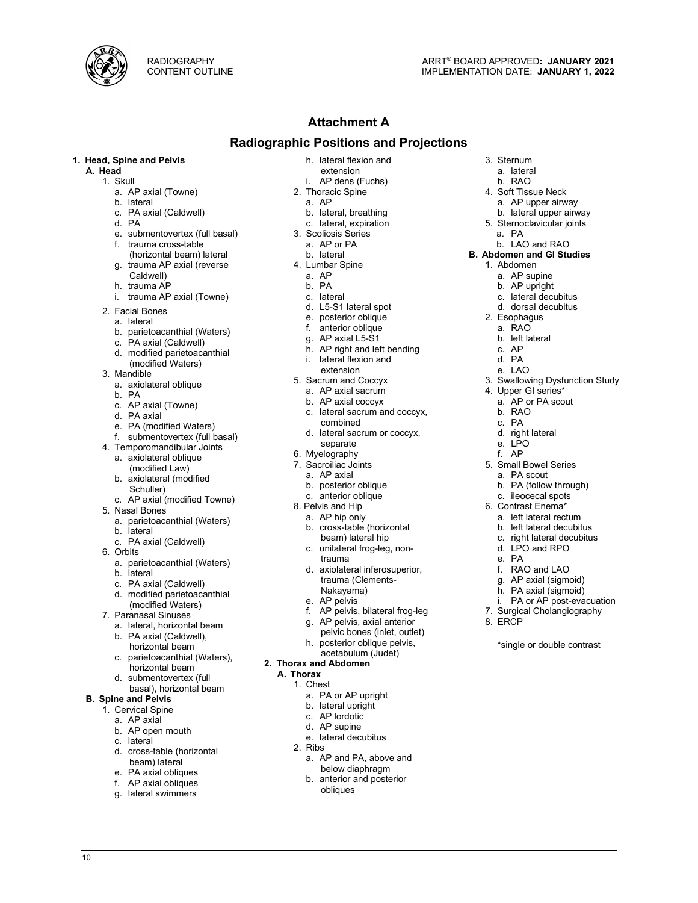

3. Sternum

d. PA<br>e. LAO

\*single or double contrast

a. AP upper airway

b. LAO and RAO

#### **Attachment A**

#### **Radiographic Positions and Projections**

### **1. Head, Spine and Pelvis h. lateral flexion and A. Head <b>A.** Head **h A.** Head **html** extension

- 1. Skull i. AP dens (Fuchs) b. RAO<br>i. AP axial (Towne) b. RAO b. RAO b. RAO b. RAO ca. AP axial (Towne) b. RAO ca. AP axial (Towne) b. RAO ca. B
	- a. AP axial (Towne) 2. Thoracic Spine 2. Thoracic Spine 1. Soft Tissue Necklet Tissue Necklet Tissue Necklet<br>
	2. AP
	-
	-
	-
	- e. submentovertex (full basal) 3. Scoliosis Ser<br>f. trauma cross-table 3. AP or PA f. trauma cross-table
	- (horizontal beam) lateral g. trauma AP axial (reverse
	-
	- Caldwell)<br>h. trauma AP
	- i. trauma AP axial (Towne) c. lateral c. lateral c. lateral decubitus c. lateral decubitus c. lateral decubitus<br>Cociol Bonos
- 
- 
- 
- 
- d. modified parietoacanthial in the Marian Channel Channel Channel Channel Channel Channel Channel Channel Channel Channel Channel Channel Channel Channel Channel Channel Channel Channel Channel Channel Channel Channel Cha
- 
- 
- 
- 
- 
- 
- 
- a. axiolateral oblique b. Myelography<br>
(modified Law) 7. Sacroiliac Joints 5. Small Bowel Series<br>
a. AP axial a. PA scout<br>
a. PA scout
- b. axiolateral (modified a. AP axial a. AP axial b. posterior oblique Schuller)
- b. posterior oblique b. posterior oblique b. PA (follow through)<br>
Schuller) b. PA (follow through)<br>
c. AP axial (modified Towne) c. anterior oblique c. ileocecal spots
- 
- c. AP axial (modified Towne) c. anterior oblique c. AP axial (modified Towne) c. anterior oblique c. ileocecal spots<br>
5. Nasal Bones a. parietoacanthial (Waters) a. AP hip only a. left lateral rectum b. lateral rectum b. c
	-
	-
- 
- 
- 
- 
- g. AP axial (sigmoid) c. PA axial (Caldwell) h. PA axial (sigmoid) d. modified parietoacanthial
- 
- a. lateral, horizontal beam
- b. PA axial (Caldwell),
- c. parietoacanthial (Waters), horizontal beam **2. Thorax and Abdomen**
- d. submentovertex (full **A. Thorax**<br>hasal) horizontal horm **A.** Chest basal), horizontal beam 1. Chest comes basal), horizontal beam 1. Chest ca. PA or AP upright
- **B. Spine and Pelvis**<br>
1. Cervical Spine<br>
a. AP axial<br>
b. AP open mouth c. lateral cervical c. AP open mouth c. lateral<br>
c. lateral decubitus<br>
c. lateral decubitus
	-
	-
	-
	-

10

- 2. Ribs d. cross-table (horizontal beam) lateral a. AP and PA, above and<br>
e. PA axial obliques<br>
e. PA axial obliques
- 
- f. AP axial obliques
- g. lateral swimmers
- 
- extension **A. Head** a. lateral
	-
	-
	-
	- c. PA axial (Caldwell) b. lateral, breathing b. b. lateral upper airway<br>d. PA b. lateral upper airway c. lateral expiration b. Sternoclavicular ioints
		-
		- c. lateral, expiration 6. Sternoclavicular joints<br>3. Scoliosis Series 6. Sternoclavicular joints
			-
			-
		- b. lateral **B. Abdomen and GI Studies** 4. Lumbar Spine<br>a. AP
			- a. AP a. AP a. AP supine<br>b. PA a. AP supine b. AP upright
			-
			- b. PA b. and b. AP upright b. Australian b. AP upright c. lateral decubitus
			-
			-
			-
			-
	- 2. Facial Bones<br>
	a. lateral e. b. parietoacanthial (Waters) and Material e. b. parietoacanthial (Waters) a. aterior oblique<br>
	b. parietoacanthial (Waters) a. RAO<br>
	c. PA axial (Caldwell) a. AP axial L5-S1<br>
	d. modified pariet
		-
		- extension<br>5. Sacrum and Coccyx
	- extension and Coccyx extension and Coccyx a. axiolateral oblique a. axiolateral oblique a. AP axial sacrum and Coccyx a. AP axial sacrum 4. Upper GI series\* b. PA
		-
		-
		- b. PA a. AP axial sacrum a. AP axial sacrum and coccyx a. AP or PA scout c. AP axial (Towne) b. AP axial coccyx, a. AP or PA scout c. lateral sacrum and coccyx, c. PA scout c. PA scout c. PA scout c. PA scout c. PA scout c combined<br>d. lateral sacrum or coccyx, b. RAO d. PA axial c. Particularly c. lateral sacrum and coccyx, b. RAO d. PA (modified Waters) c. lateral sacrum and coccyx, b. RAO d. PA (modified Waters) c. PA c. PA c. PA c. PA c. PA c. PA d. right
	- separate d. lateral sacrum or coccyx, e. lateral f. submentovertex (full basal) b. d. lateral sacrum or coccyx, d. lateral separate e. LPO 4. Temporomandibular Joints 6. Myelography f. AP a. axiolateral oblique 6. Myelography f. AP
		-
		-
		-
		-
		-
		-
		-
		- beam) lateral hip<br>c. unilateral frog-leg, nonb. left lateral decubitus b. lateral c. right lateral decubitus c. PA axial (Caldwell) c. unilateral frog-leg, non-
	- trauma d. LPO and RPO 6. Orbits e. parietoacanthial (Waters) between the c. unilateral frog-leg, non-<br>
	e. PA a. parietoacanthial (Waters) d. axiolateral inferosuperior, the lateral business of the c. PA c. a. parietoacanthial (Wa
		- trauma (Clementsa. parietoacanthial (Waters) trauma<br>
		b. lateral b. lateral inferosuperior, the c. PA axial (Caldwell) d. axiolateral inferosuperior, the c. PA axial (sigmoid) trauma (Clements- g. AP axial (sigmoid)
			- Nakayama)<br>e. AP pelvis
	- d. modified Watersdammark of the AP pelvis income paretoacammark of the AP pelvis income (modified Waters)<br>T. Paranasal Sinuses (modified Waters) f. AP pelvis, bilateral frog-leg from the Surgical Cholangiography f. AP pelvis, bilateral frog-leg 7. Surgical Cholangia Cholangia 7. Surgical Cholangia Cholangia 7. Surgical Sinus 2. ERCP
		- g. AP pelvis, axial anterior
		- pelvic bones (inlet, outlet) h. posterior oblique pelvis,
		- acetabulum (Judet)

b. anterior and posterior<br>obliques

- - -
		-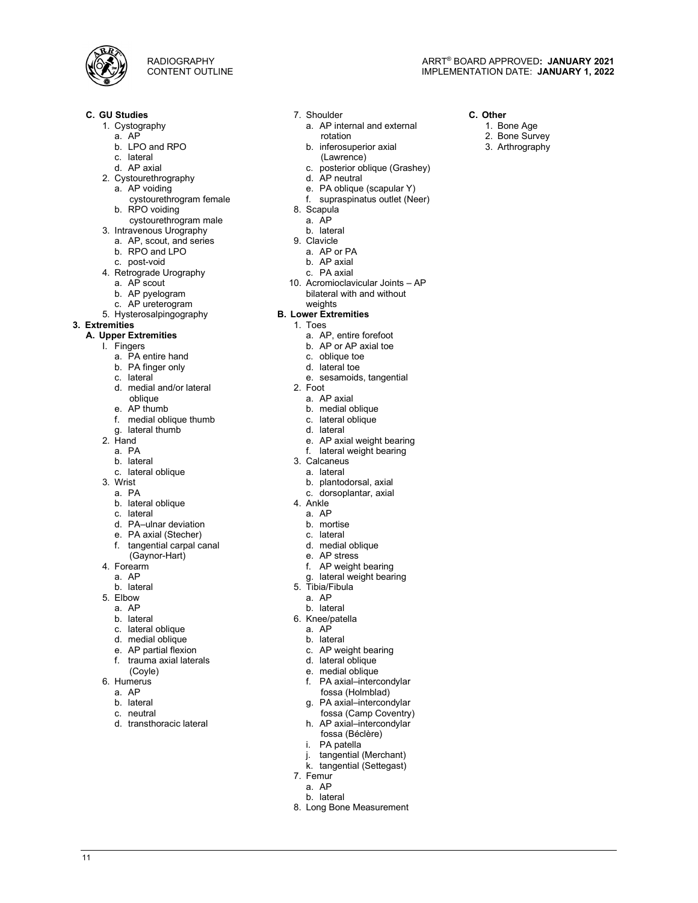

RADIOGRAPHY CONTENT OUTLINE

1. Bone Age

3. Arthrography

- -
	-
	- c. lateral<br>d. AP axial
- 2. Cystourethrography
	- a. AP voiding
		- cystourethrogram female
	- b. RPO voiding cystourethrogram male
- 
- 3. Intravenous Urography b. lateral b. lateral b. lateral b. lateral b. lateral b. lateral b. et al. AP. scout. and series a. AP, scout, and series 9. Clavicle<br>
b. RPO and LPO 6. AP or PA
	-
	- b. RPO and LPO a. AP or PA<br>c. post-void b. AP axial c. post-void
- 
- 4. Retrograde Urography **c. PA axial**<br>a. AP scout **c. Accomposition** 10. Acromioclav
	- b. AP pyelogram
	- c. AP ureterogram
- 5. Hysterosalpingography **B. Lower Exercise B. Lower Extremities**<br>**1.** Toes

- **3. Extremities 1.** Toes<br> **1.** Toes<br> **2.** A. Upper Extremities **1.** Toes<br> **2.** AP. entire forefoot **A. Upper Extremities**<br>
1. Fingers
	- - a. PA entire hand a c. oblique to b. PA finaer only c. oblique to b. PA finaer only c. oblique to b.
		- b. PA finger only c. lateral
		-
		- d. medial and/or lateral oblique<br>e. AP thumb
		-
		- f. medial oblique thumb
		- g. lateral thumb d. lateral<br>2 Hand e AP axi
		- -
			-
		- c. lateral oblique a. lateral oblique a. lateral a. lateral a. lateral a. lateral a. lateral a. lateral a. lateral a. lateral a. lateral a. lateral a. lateral a. lateral a. lateral a. lateral a. lateral a. lateral a. later
			-
			-
			- b. lateral oblique 4. Ankle c. lateral  $\overline{a}$ . AP
			-
			- c. lateral a. AP a.<br>
			d. PA–ulnar deviation and all the b. mortise
			- d. PA–ulnar deviation in the control of the partise b. mortise<br>e. PA axial (Stecher) in the c. lateral e. PA axial (Stecher)
			- f. tangential carpal canal
		- (Gaynor-Hart)<br>4. Forearm
		-
		-
		- b. lateral 5. Tibia/Fibula
		- 5. Elbow a. AP
			- a. AP b. lateral b. lateral b. lateral b. lateral b. lateral b. lateral b. lateral b. lateral b. lateral b. lateral b. lateral b. lateral b. lateral b. lateral b. lateral b. lateral b. lateral b. lateral b. lateral b. late
			-
			- c. lateral oblique a. AP a. AP d. medial oblique a. AP b. lateral
			- d. medial oblique<br>e. AP partial flexion
			-
			- f. trauma axial laterals
		- (Coyle)<br>6. Humerus
			- F. PA axial–intercondylar f. PA axial–intercondylar for the form of the form of the form of the form of the for<br>
			fossa (Holmblad)
			- a. AP fossa (Holmblad)<br>b. lateral fossa (Alexandre fossa (Holmblad)<br>d. PA axial—intercon

11

- b. lateral g. PA axial–intercondylar
- 
- c. neutral fossa (Camp Coventry)<br>d. transthoracic lateral for the Maxial-intercond via
- 
- **C. GU Studies** 7. Shoulder **C. Other** 1. Cystography **1. Cystography** a. AP internal and external and external and external and external and external and external and external and external and external and external and external and external and external and ex rotation a. AP 2. Bone Survey
	- b. inferosuperior axial (Lawrence)
	-
	- c. posterior oblique (Grashey)<br>d. AP neutral
	- e. PA oblique (scapular Y)
	- f. supraspinatus outlet (Neer)
	- 8. Scapula
	- - a. AP<br>b. lateral
	-
	-
	-
	-
	- 10. Acromioclavicular Joints AP bilateral with and without
	- weights<br>B. Lower Extremities
		- -
			- b. AP or AP axial toe<br>c. oblique toe
			-
			-
			- e. sesamoids, tangential
		- 2. Foot
			- a. AP axial
			- b. medial oblique<br>c. lateral oblique
			-
			-
	- in the Hand the Marian Communist Communist Communist Communist Communist Communist Communist Communist Communis<br>2. Hand the Marian Communist Communist Communist Communist Communist Communist Communist Communist Communist C
	- a. PA f. lateral weight bearing<br>b. lateral b. lateral 3. Calcaneus
		- 3. Calcaneus
			-
			-
	- 3. Wrist b. plantodorsal, axial a. PA and the state of the state of the state of the state of the state of the<br>3. PA and the state of the state of the state of the state of the state of the state of the state of the state c. dorsoplantar, axial<br>4. Ankle
		-
		- -

6. Knee/patella<br>a. AP

7. Femur a. AP b. lateral

- 
- d. medial oblique
- e. AP stress
- Forearm f. AP weight bearing<br>a. AP and a capacitative contract of the article of the contract of the contract of the contract of the contract of the contract of the contract of the contract of the contract of the contract

c. AP weight bearing

h. AP axial–intercondylar fossa (Béclère) i. PA patella

j. tangential (Merchant) k. tangential (Settegast)

8. Long Bone Measurement

d. lateral oblique e. medial oblique

g. lateral weight bearing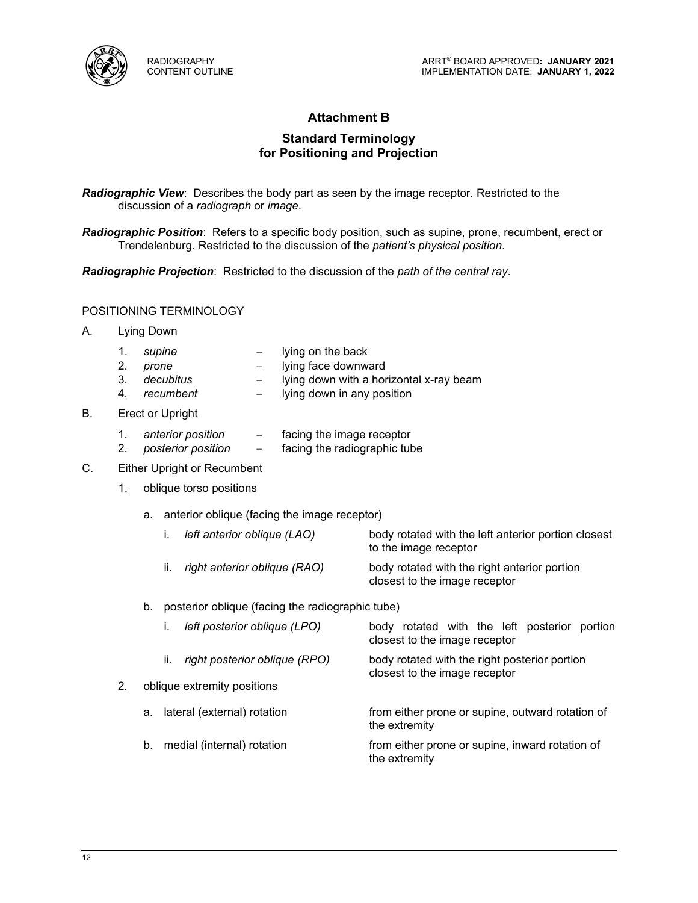

#### **Attachment B**

#### **Standard Terminology for Positioning and Projection**

*Radiographic View*: Describes the body part as seen by the image receptor. Restricted to the discussion of a *radiograph* or *image*.

*Radiographic Position*: Refers to a specific body position, such as supine, prone, recumbent, erect or Trendelenburg. Restricted to the discussion of the *patient's physical position*.

*Radiographic Projection*: Restricted to the discussion of the *path of the central ray*.

#### POSITIONING TERMINOLOGY

- A. Lying Down
	- 1. *supine* − lying on the back
	- 2. *prone* − lying face downward
	- 3. *decubitus* − lying down with a horizontal x-ray beam
	- 4. *recumbent* − lying down in any position
- B. Erect or Upright
	- 1. *anterior position* − facing the image receptor
	- 2. *posterior position* − facing the radiographic tube
- C. Either Upright or Recumbent
	- 1. oblique torso positions
		- a. anterior oblique (facing the image receptor)

|     | left anterior oblique (LAO)  | body rotated with the left anterior portion closest<br>to the image receptor  |
|-----|------------------------------|-------------------------------------------------------------------------------|
| ΪĹ. | right anterior oblique (RAO) | body rotated with the right anterior portion<br>closest to the image receptor |

b. posterior oblique (facing the radiographic tube)

|    | left posterior oblique (LPO)         | body rotated with the left posterior portion<br>closest to the image receptor  |
|----|--------------------------------------|--------------------------------------------------------------------------------|
|    | ii.<br>right posterior oblique (RPO) | body rotated with the right posterior portion<br>closest to the image receptor |
| 2. | oblique extremity positions          |                                                                                |
|    | a. lateral (external) rotation       | from either prone or supine, outward rotation of<br>the extremity              |
|    | medial (internal) rotation<br>b.     | from either prone or supine, inward rotation of<br>the extremity               |